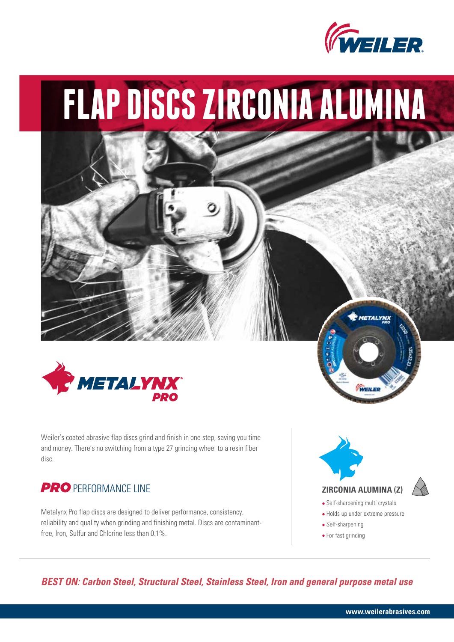

# **FLAP DISCS ZIRCONIA ALUMINA**



Weiler's coated abrasive flap discs grind and finish in one step, saving you time and money. There's no switching from a type 27 grinding wheel to a resin fiber disc.

## **PRO** PERFORMANCE LINE

Metalynx Pro flap discs are designed to deliver performance, consistency, reliability and quality when grinding and finishing metal. Discs are contaminantfree, Iron, Sulfur and Chlorine less than 0.1%.



- **•** Self-sharpening
- **•** For fast grinding

*BEST ON: Carbon Steel, Structural Steel, Stainless Steel, Iron and general purpose metal use*